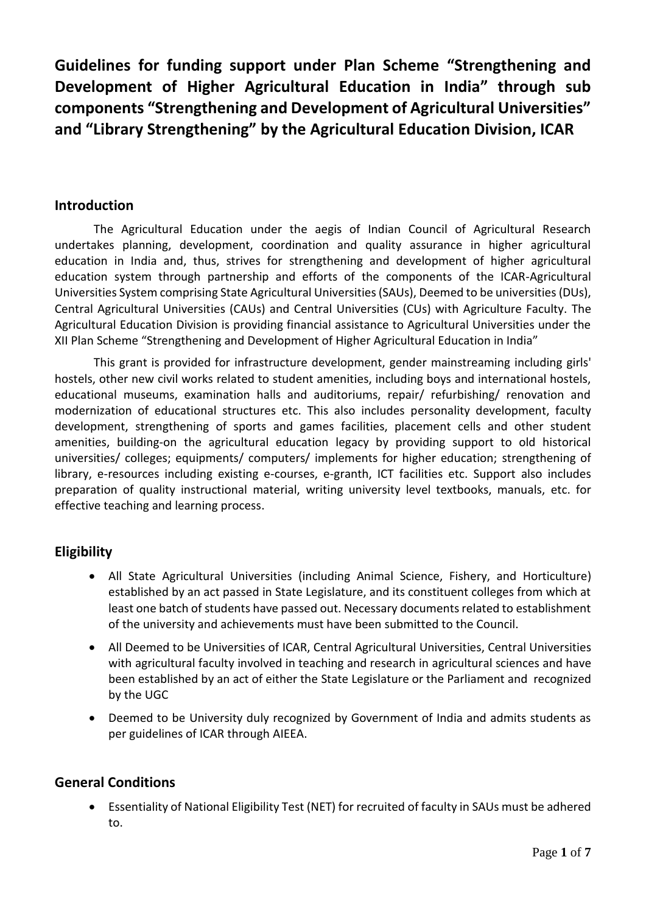**Guidelines for funding support under Plan Scheme "Strengthening and Development of Higher Agricultural Education in India" through sub components "Strengthening and Development of Agricultural Universities" and "Library Strengthening" by the Agricultural Education Division, ICAR**

### **Introduction**

The Agricultural Education under the aegis of Indian Council of Agricultural Research undertakes planning, development, coordination and quality assurance in higher agricultural education in India and, thus, strives for strengthening and development of higher agricultural education system through partnership and efforts of the components of the ICAR-Agricultural Universities System comprising State Agricultural Universities (SAUs), Deemed to be universities (DUs), Central Agricultural Universities (CAUs) and Central Universities (CUs) with Agriculture Faculty. The Agricultural Education Division is providing financial assistance to Agricultural Universities under the XII Plan Scheme "Strengthening and Development of Higher Agricultural Education in India"

This grant is provided for infrastructure development, gender mainstreaming including girls' hostels, other new civil works related to student amenities, including boys and international hostels, educational museums, examination halls and auditoriums, repair/ refurbishing/ renovation and modernization of educational structures etc. This also includes personality development, faculty development, strengthening of sports and games facilities, placement cells and other student amenities, building-on the agricultural education legacy by providing support to old historical universities/ colleges; equipments/ computers/ implements for higher education; strengthening of library, e-resources including existing e-courses, e-granth, ICT facilities etc. Support also includes preparation of quality instructional material, writing university level textbooks, manuals, etc. for effective teaching and learning process.

# **Eligibility**

- All State Agricultural Universities (including Animal Science, Fishery, and Horticulture) established by an act passed in State Legislature, and its constituent colleges from which at least one batch of students have passed out. Necessary documents related to establishment of the university and achievements must have been submitted to the Council.
- All Deemed to be Universities of ICAR, Central Agricultural Universities, Central Universities with agricultural faculty involved in teaching and research in agricultural sciences and have been established by an act of either the State Legislature or the Parliament and recognized by the UGC
- Deemed to be University duly recognized by Government of India and admits students as per guidelines of ICAR through AIEEA.

### **General Conditions**

 Essentiality of National Eligibility Test (NET) for recruited of faculty in SAUs must be adhered to.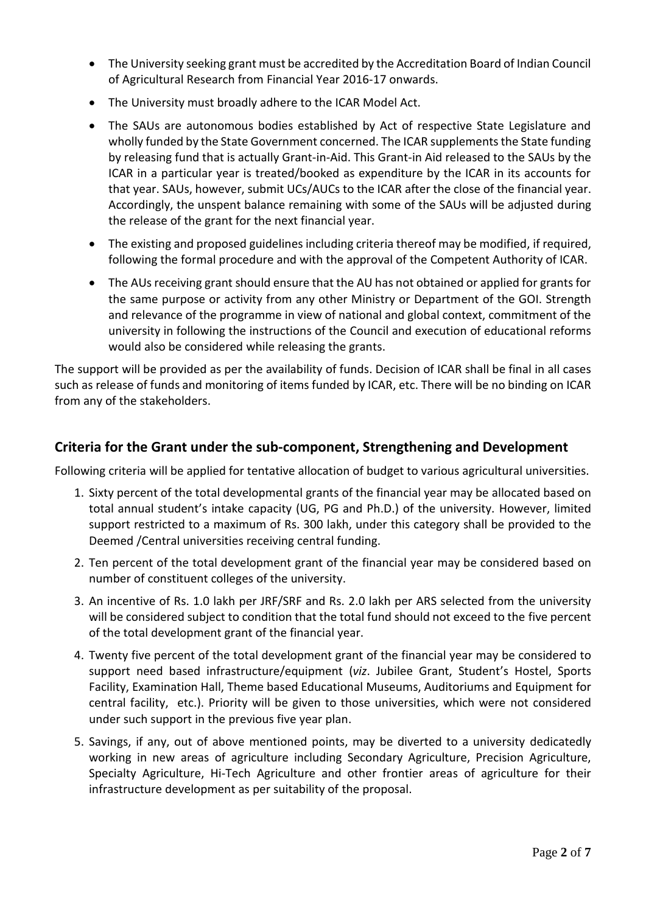- The University seeking grant must be accredited by the Accreditation Board of Indian Council of Agricultural Research from Financial Year 2016-17 onwards.
- The University must broadly adhere to the ICAR Model Act.
- The SAUs are autonomous bodies established by Act of respective State Legislature and wholly funded by the State Government concerned. The ICAR supplements the State funding by releasing fund that is actually Grant-in-Aid. This Grant-in Aid released to the SAUs by the ICAR in a particular year is treated/booked as expenditure by the ICAR in its accounts for that year. SAUs, however, submit UCs/AUCs to the ICAR after the close of the financial year. Accordingly, the unspent balance remaining with some of the SAUs will be adjusted during the release of the grant for the next financial year.
- The existing and proposed guidelines including criteria thereof may be modified, if required, following the formal procedure and with the approval of the Competent Authority of ICAR.
- The AUs receiving grant should ensure that the AU has not obtained or applied for grants for the same purpose or activity from any other Ministry or Department of the GOI. Strength and relevance of the programme in view of national and global context, commitment of the university in following the instructions of the Council and execution of educational reforms would also be considered while releasing the grants.

The support will be provided as per the availability of funds. Decision of ICAR shall be final in all cases such as release of funds and monitoring of items funded by ICAR, etc. There will be no binding on ICAR from any of the stakeholders.

# **Criteria for the Grant under the sub-component, Strengthening and Development**

Following criteria will be applied for tentative allocation of budget to various agricultural universities.

- 1. Sixty percent of the total developmental grants of the financial year may be allocated based on total annual student's intake capacity (UG, PG and Ph.D.) of the university. However, limited support restricted to a maximum of Rs. 300 lakh, under this category shall be provided to the Deemed /Central universities receiving central funding.
- 2. Ten percent of the total development grant of the financial year may be considered based on number of constituent colleges of the university.
- 3. An incentive of Rs. 1.0 lakh per JRF/SRF and Rs. 2.0 lakh per ARS selected from the university will be considered subject to condition that the total fund should not exceed to the five percent of the total development grant of the financial year.
- 4. Twenty five percent of the total development grant of the financial year may be considered to support need based infrastructure/equipment (*viz*. Jubilee Grant, Student's Hostel, Sports Facility, Examination Hall, Theme based Educational Museums, Auditoriums and Equipment for central facility, etc.). Priority will be given to those universities, which were not considered under such support in the previous five year plan.
- 5. Savings, if any, out of above mentioned points, may be diverted to a university dedicatedly working in new areas of agriculture including Secondary Agriculture, Precision Agriculture, Specialty Agriculture, Hi-Tech Agriculture and other frontier areas of agriculture for their infrastructure development as per suitability of the proposal.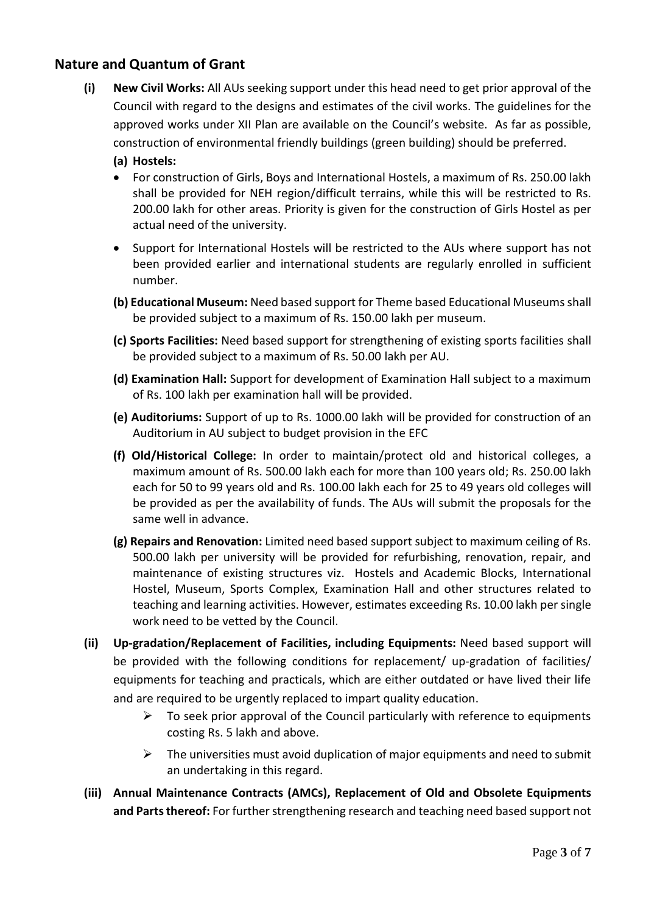# **Nature and Quantum of Grant**

- **(i) New Civil Works:** All AUs seeking support under this head need to get prior approval of the Council with regard to the designs and estimates of the civil works. The guidelines for the approved works under XII Plan are available on the Council's website. As far as possible, construction of environmental friendly buildings (green building) should be preferred.
	- **(a) Hostels:**
	- For construction of Girls, Boys and International Hostels, a maximum of Rs. 250.00 lakh shall be provided for NEH region/difficult terrains, while this will be restricted to Rs. 200.00 lakh for other areas. Priority is given for the construction of Girls Hostel as per actual need of the university.
	- Support for International Hostels will be restricted to the AUs where support has not been provided earlier and international students are regularly enrolled in sufficient number.
	- **(b) Educational Museum:** Need based support for Theme based Educational Museumsshall be provided subject to a maximum of Rs. 150.00 lakh per museum.
	- **(c) Sports Facilities:** Need based support for strengthening of existing sports facilities shall be provided subject to a maximum of Rs. 50.00 lakh per AU.
	- **(d) Examination Hall:** Support for development of Examination Hall subject to a maximum of Rs. 100 lakh per examination hall will be provided.
	- **(e) Auditoriums:** Support of up to Rs. 1000.00 lakh will be provided for construction of an Auditorium in AU subject to budget provision in the EFC
	- **(f) Old/Historical College:** In order to maintain/protect old and historical colleges, a maximum amount of Rs. 500.00 lakh each for more than 100 years old; Rs. 250.00 lakh each for 50 to 99 years old and Rs. 100.00 lakh each for 25 to 49 years old colleges will be provided as per the availability of funds. The AUs will submit the proposals for the same well in advance.
	- **(g) Repairs and Renovation:** Limited need based support subject to maximum ceiling of Rs. 500.00 lakh per university will be provided for refurbishing, renovation, repair, and maintenance of existing structures viz. Hostels and Academic Blocks, International Hostel, Museum, Sports Complex, Examination Hall and other structures related to teaching and learning activities. However, estimates exceeding Rs. 10.00 lakh per single work need to be vetted by the Council.
- **(ii) Up-gradation/Replacement of Facilities, including Equipments:** Need based support will be provided with the following conditions for replacement/ up-gradation of facilities/ equipments for teaching and practicals, which are either outdated or have lived their life and are required to be urgently replaced to impart quality education.
	- $\triangleright$  To seek prior approval of the Council particularly with reference to equipments costing Rs. 5 lakh and above.
	- $\triangleright$  The universities must avoid duplication of major equipments and need to submit an undertaking in this regard.
- **(iii) Annual Maintenance Contracts (AMCs), Replacement of Old and Obsolete Equipments and Parts thereof:** For further strengthening research and teaching need based support not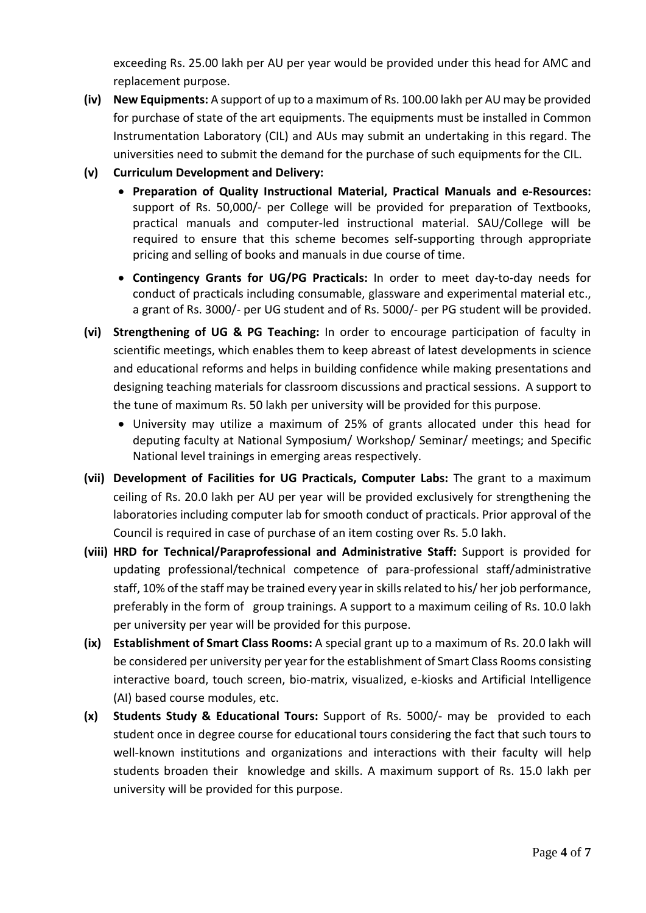exceeding Rs. 25.00 lakh per AU per year would be provided under this head for AMC and replacement purpose.

- **(iv) New Equipments:** A support of up to a maximum of Rs. 100.00 lakh per AU may be provided for purchase of state of the art equipments. The equipments must be installed in Common Instrumentation Laboratory (CIL) and AUs may submit an undertaking in this regard. The universities need to submit the demand for the purchase of such equipments for the CIL.
- **(v) Curriculum Development and Delivery:**
	- **Preparation of Quality Instructional Material, Practical Manuals and e-Resources:**  support of Rs. 50,000/- per College will be provided for preparation of Textbooks, practical manuals and computer-led instructional material. SAU/College will be required to ensure that this scheme becomes self-supporting through appropriate pricing and selling of books and manuals in due course of time.
	- **Contingency Grants for UG/PG Practicals:** In order to meet day-to-day needs for conduct of practicals including consumable, glassware and experimental material etc., a grant of Rs. 3000/- per UG student and of Rs. 5000/- per PG student will be provided.
- **(vi) Strengthening of UG & PG Teaching:** In order to encourage participation of faculty in scientific meetings, which enables them to keep abreast of latest developments in science and educational reforms and helps in building confidence while making presentations and designing teaching materials for classroom discussions and practical sessions. A support to the tune of maximum Rs. 50 lakh per university will be provided for this purpose.
	- University may utilize a maximum of 25% of grants allocated under this head for deputing faculty at National Symposium/ Workshop/ Seminar/ meetings; and Specific National level trainings in emerging areas respectively.
- **(vii) Development of Facilities for UG Practicals, Computer Labs:** The grant to a maximum ceiling of Rs. 20.0 lakh per AU per year will be provided exclusively for strengthening the laboratories including computer lab for smooth conduct of practicals. Prior approval of the Council is required in case of purchase of an item costing over Rs. 5.0 lakh.
- **(viii) HRD for Technical/Paraprofessional and Administrative Staff:** Support is provided for updating professional/technical competence of para-professional staff/administrative staff, 10% of the staff may be trained every year in skills related to his/ her job performance, preferably in the form of group trainings. A support to a maximum ceiling of Rs. 10.0 lakh per university per year will be provided for this purpose.
- **(ix) Establishment of Smart Class Rooms:** A special grant up to a maximum of Rs. 20.0 lakh will be considered per university per year for the establishment of Smart Class Rooms consisting interactive board, touch screen, bio-matrix, visualized, e-kiosks and Artificial Intelligence (AI) based course modules, etc.
- **(x) Students Study & Educational Tours:** Support of Rs. 5000/- may be provided to each student once in degree course for educational tours considering the fact that such tours to well-known institutions and organizations and interactions with their faculty will help students broaden their knowledge and skills. A maximum support of Rs. 15.0 lakh per university will be provided for this purpose.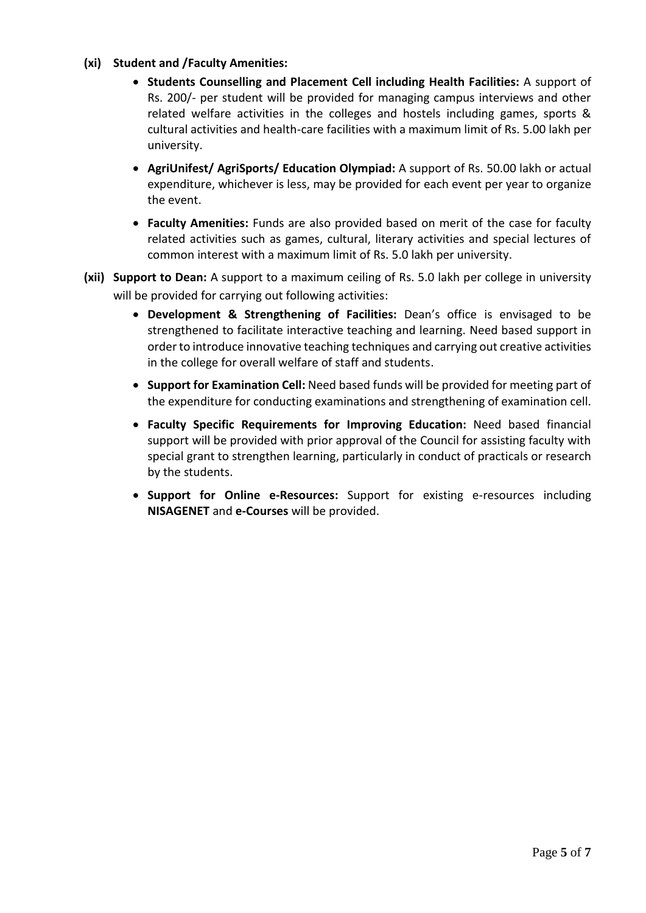#### **(xi) Student and /Faculty Amenities:**

- **Students Counselling and Placement Cell including Health Facilities:** A support of Rs. 200/- per student will be provided for managing campus interviews and other related welfare activities in the colleges and hostels including games, sports & cultural activities and health-care facilities with a maximum limit of Rs. 5.00 lakh per university.
- **AgriUnifest/ AgriSports/ Education Olympiad:** A support of Rs. 50.00 lakh or actual expenditure, whichever is less, may be provided for each event per year to organize the event.
- **Faculty Amenities:** Funds are also provided based on merit of the case for faculty related activities such as games, cultural, literary activities and special lectures of common interest with a maximum limit of Rs. 5.0 lakh per university.
- **(xii) Support to Dean:** A support to a maximum ceiling of Rs. 5.0 lakh per college in university will be provided for carrying out following activities:
	- **Development & Strengthening of Facilities:** Dean's office is envisaged to be strengthened to facilitate interactive teaching and learning. Need based support in order to introduce innovative teaching techniques and carrying out creative activities in the college for overall welfare of staff and students.
	- **Support for Examination Cell:** Need based funds will be provided for meeting part of the expenditure for conducting examinations and strengthening of examination cell.
	- **Faculty Specific Requirements for Improving Education:** Need based financial support will be provided with prior approval of the Council for assisting faculty with special grant to strengthen learning, particularly in conduct of practicals or research by the students.
	- **Support for Online e-Resources:** Support for existing e-resources including **NISAGENET** and **e-Courses** will be provided.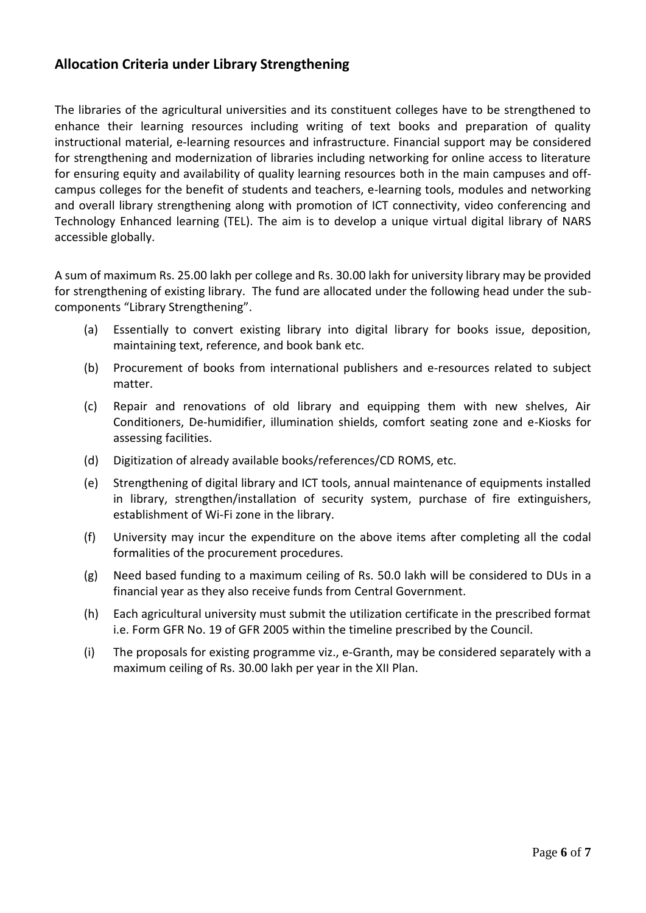# **Allocation Criteria under Library Strengthening**

The libraries of the agricultural universities and its constituent colleges have to be strengthened to enhance their learning resources including writing of text books and preparation of quality instructional material, e-learning resources and infrastructure. Financial support may be considered for strengthening and modernization of libraries including networking for online access to literature for ensuring equity and availability of quality learning resources both in the main campuses and offcampus colleges for the benefit of students and teachers, e-learning tools, modules and networking and overall library strengthening along with promotion of ICT connectivity, video conferencing and Technology Enhanced learning (TEL). The aim is to develop a unique virtual digital library of NARS accessible globally.

A sum of maximum Rs. 25.00 lakh per college and Rs. 30.00 lakh for university library may be provided for strengthening of existing library. The fund are allocated under the following head under the subcomponents "Library Strengthening".

- (a) Essentially to convert existing library into digital library for books issue, deposition, maintaining text, reference, and book bank etc.
- (b) Procurement of books from international publishers and e-resources related to subject matter.
- (c) Repair and renovations of old library and equipping them with new shelves, Air Conditioners, De-humidifier, illumination shields, comfort seating zone and e-Kiosks for assessing facilities.
- (d) Digitization of already available books/references/CD ROMS, etc.
- (e) Strengthening of digital library and ICT tools, annual maintenance of equipments installed in library, strengthen/installation of security system, purchase of fire extinguishers, establishment of Wi-Fi zone in the library.
- (f) University may incur the expenditure on the above items after completing all the codal formalities of the procurement procedures.
- (g) Need based funding to a maximum ceiling of Rs. 50.0 lakh will be considered to DUs in a financial year as they also receive funds from Central Government.
- (h) Each agricultural university must submit the utilization certificate in the prescribed format i.e. Form GFR No. 19 of GFR 2005 within the timeline prescribed by the Council.
- (i) The proposals for existing programme viz., e-Granth, may be considered separately with a maximum ceiling of Rs. 30.00 lakh per year in the XII Plan.